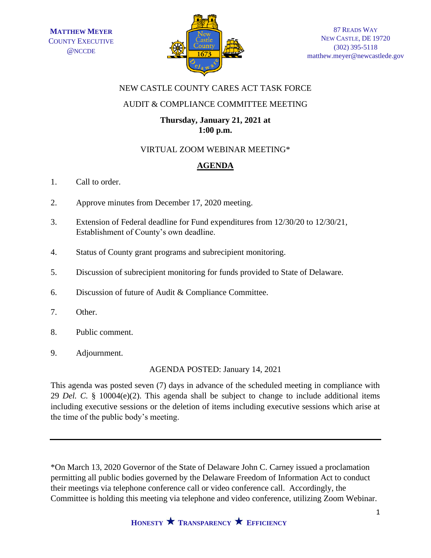

## NEW CASTLE COUNTY CARES ACT TASK FORCE

# AUDIT & COMPLIANCE COMMITTEE MEETING

### **Thursday, January 21, 2021 at 1:00 p.m.**

# VIRTUAL ZOOM WEBINAR MEETING\*

# **AGENDA**

- 1. Call to order.
- 2. Approve minutes from December 17, 2020 meeting.
- 3. Extension of Federal deadline for Fund expenditures from 12/30/20 to 12/30/21, Establishment of County's own deadline.
- 4. Status of County grant programs and subrecipient monitoring.
- 5. Discussion of subrecipient monitoring for funds provided to State of Delaware.
- 6. Discussion of future of Audit & Compliance Committee.
- 7. Other.
- 8. Public comment.
- 9. Adjournment.

AGENDA POSTED: January 14, 2021

This agenda was posted seven (7) days in advance of the scheduled meeting in compliance with 29 *Del. C.* § 10004(e)(2). This agenda shall be subject to change to include additional items including executive sessions or the deletion of items including executive sessions which arise at the time of the public body's meeting.

\*On March 13, 2020 Governor of the State of Delaware John C. Carney issued a proclamation permitting all public bodies governed by the Delaware Freedom of Information Act to conduct their meetings via telephone conference call or video conference call. Accordingly, the Committee is holding this meeting via telephone and video conference, utilizing Zoom Webinar.